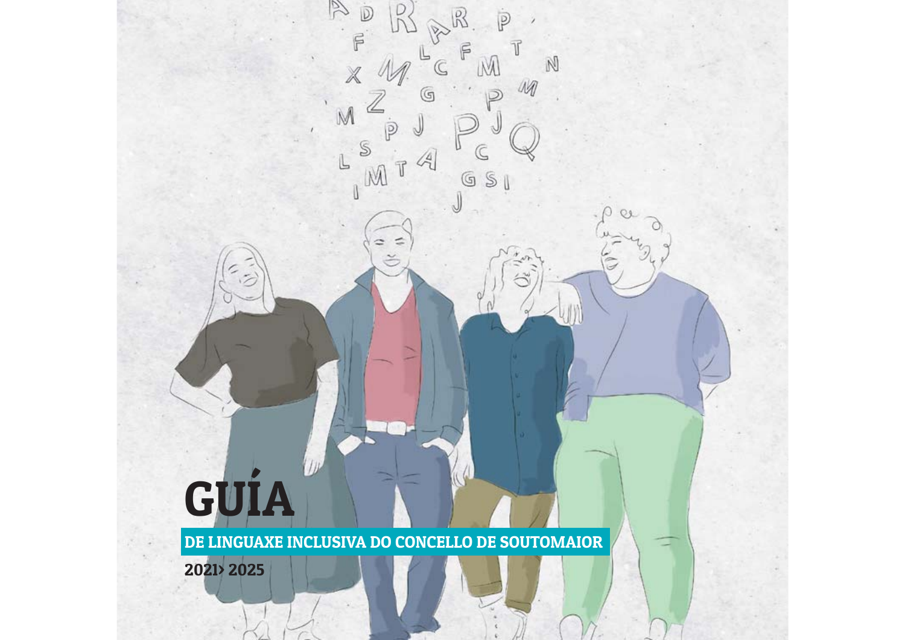# GUÍA

 $\overline{D}$ 

 $\mathbb{F}$ 

M

S

IM

≃

 $\dot{\overline{P}}$ 

M

 $\mathbb{G}$  $\mathbb S$ 

(G)

 $\mathbb N$ 

M

DE LINGUAXE INCLUSIVA DO CONCELLO DE SOUTOMAIOR

2021> 2025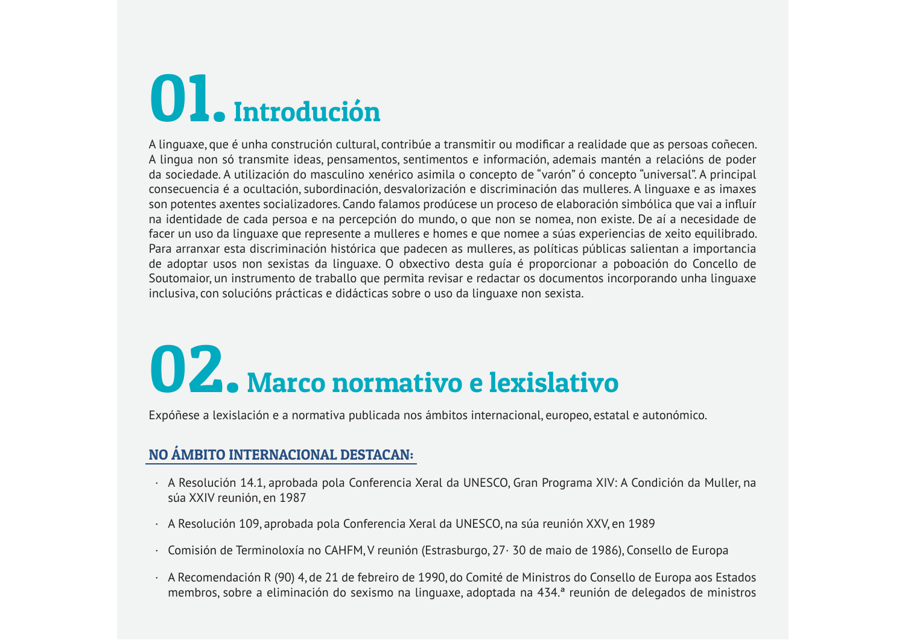## Ol. Introdución

A linguaxe, que é unha construción cultural, contribúe a transmitir ou modificar a realidade que as persoas coñecen. A lingua non só transmite ideas, pensamentos, sentimentos e información, ademais mantén a relacións de poder da sociedade. A utilización do masculino xenérico asimila o concepto de "varón" ó concepto "universal". A principal consecuencia é a ocultación, subordinación, desvalorización e discriminación das mulleres. A linguaxe e as imaxes son potentes axentes socializadores. Cando falamos prodúcese un proceso de elaboración simbólica que vai a influír na identidade de cada persoa e na percepción do mundo, o que non se nomea, non existe. De aí a necesidade de facer un uso da linguaxe que represente a mulleres e homes e que nomee a súas experiencias de xeito equilibrado. Para arranxar esta discriminación histórica que padecen as mulleres, as políticas públicas salientan a importancia de adoptar usos non sexistas da linguaxe. O obxectivo desta quía é proporcionar a poboación do Concello de Soutomaior, un instrumento de traballo que permita revisar e redactar os documentos incorporando unha linguaxe inclusiva, con solucións prácticas e didácticas sobre o uso da linguaxe non sexista.

### 02. Marco normativo e lexislativo

Expóñese a lexislación e a normativa publicada nos ámbitos internacional, europeo, estatal e autonómico.

#### NO ÁMBITO INTERNACIONAL DESTACAN:

- · A Resolución 14.1, aprobada pola Conferencia Xeral da UNESCO, Gran Programa XIV: A Condición da Muller, na súa XXIV reunión, en 1987
- · A Resolución 109, aprobada pola Conferencia Xeral da UNESCO, na súa reunión XXV, en 1989
- · Comisión de Terminoloxía no CAHFM, V reunión (Estrasburgo, 27 · 30 de maio de 1986), Consello de Europa
- A Recomendación R (90) 4, de 21 de febreiro de 1990, do Comité de Ministros do Consello de Europa aos Estados membros, sobre a eliminación do sexismo na linguaxe, adoptada na 434.ª reunión de delegados de ministros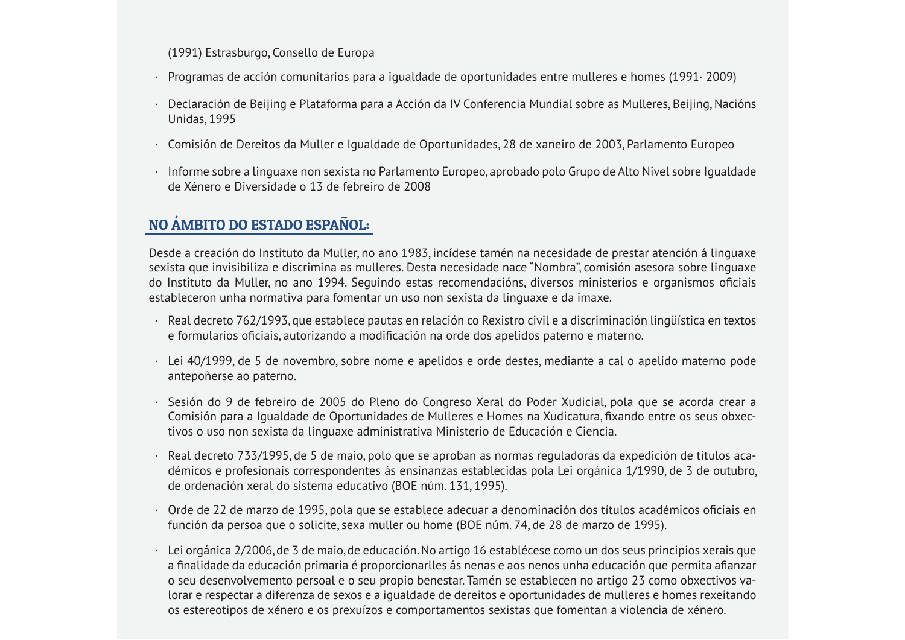(1991) Estrasburgo, Consello de Europa

- $\cdot$  Programas de acción comunitarios para a igualdade de oportunidades entre mulleres e homes (1991 $\cdot$  2009)
- · Declaración de Beijing e Plataforma para a Acción da IV Conferencia Mundial sobre as Mulleres. Beijing, Nacións **Unidas, 1995**
- Comisión de Dereitos da Muller e Igualdade de Oportunidades, 28 de xaneiro de 2003, Parlamento Europeo
- · Informe sobre a linguaxe non sexista no Parlamento Europeo, aprobado polo Grupo de Alto Nivel sobre Igualdade de Xénero e Diversidade o 13 de febreiro de 2008

#### NO ÁMBITO DO ESTADO ESPAÑOL:

Desde a creación do Instituto da Muller, no ano 1983, incídese tamén na necesidade de prestar atención á linguaxe sexista que invisibiliza e discrimina as mulleres. Desta necesidade nace "Nombra", comisión asesora sobre linguaxe do Instituto da Muller, no ano 1994. Seguindo estas recomendacións, diversos ministerios e organismos oficiais estableceron unha normativa para fomentar un uso non sexista da linguaxe e da imaxe.

- · Real decreto 762/1993, que establece pautas en relación co Rexistro civil e a discriminación lingüística en textos e formularios oficiais, autorizando a modificación na orde dos apelidos paterno e materno.
- · Lei 40/1999, de 5 de novembro, sobre nome e apelidos e orde destes, mediante a cal o apelido materno pode antepoñerse ao paterno.
- · Sesión do 9 de febreiro de 2005 do Pleno do Congreso Xeral do Poder Xudicial, pola que se acorda crear a Comisión para a Igualdade de Oportunidades de Mulleres e Homes na Xudicatura, fixando entre os seus obxectivos o uso non sexista da linguaxe administrativa Ministerio de Educación e Ciencia.
- · Real decreto 733/1995, de 5 de maio, polo que se aproban as normas reguladoras da expedición de títulos académicos e profesionais correspondentes ás ensinanzas establecidas pola Lei orgánica 1/1990, de 3 de outubro, de ordenación xeral do sistema educativo (BOE núm. 131, 1995).
- · Orde de 22 de marzo de 1995, pola que se establece adecuar a denominación dos títulos académicos oficiais en función da persoa que o solicite, sexa muller ou home (BOE núm. 74, de 28 de marzo de 1995).
- · Lei orgánica 2/2006, de 3 de maio, de educación. No artigo 16 establécese como un dos seus principios xerais que a finalidade da educación primaria é proporcionarlles ás nenas e aos nenos unha educación que permita afianzar o seu desenvolvemento persoal e o seu propio benestar. Tamén se establecen no artigo 23 como obxectivos valorar e respectar a diferenza de sexos e a igualdade de dereitos e oportunidades de mulleres e homes rexeitando os estereotipos de xénero e os prexuízos e comportamentos sexistas que fomentan a violencia de xénero.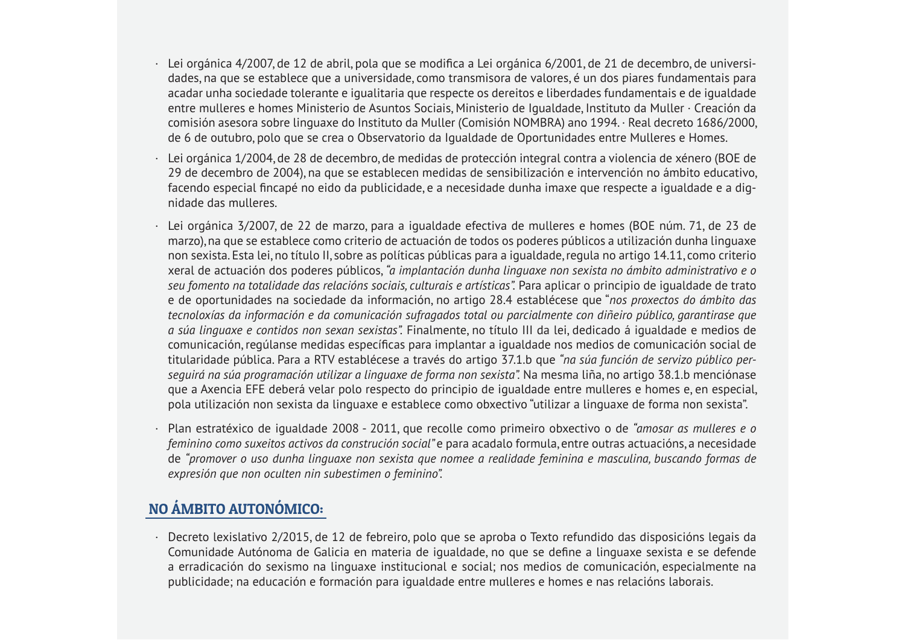- · Lei orgánica 4/2007, de 12 de abril, pola que se modifica a Lei orgánica 6/2001, de 21 de decembro, de universidades, na que se establece que a universidade, como transmisora de valores, é un dos piares fundamentais para acadar unha sociedade tolerante e igualitaria que respecte os dereitos e liberdades fundamentais e de igualdade entre mulleres e homes Ministerio de Asuntos Sociais. Ministerio de Joualdade, Instituto da Muller · Creación da comisión asesora sobre linguaxe do Instituto da Muller (Comisión NOMBRA) ano 1994. · Real decreto 1686/2000. de 6 de outubro, polo que se crea o Observatorio da Igualdade de Oportunidades entre Mulleres e Homes.
- Lei orgánica 1/2004, de 28 de decembro, de medidas de protección integral contra a violencia de xénero (BOE de 29 de decembro de 2004), na que se establecen medidas de sensibilización e intervención no ámbito educativo, facendo especial fincapé no eido da publicidade, e a necesidade dunha imaxe que respecte a igualdade e a dignidade das mulleres
- · Lei orgánica 3/2007, de 22 de marzo, para a igualdade efectiva de mulleres e homes (BOE núm. 71, de 23 de marzo), na que se establece como criterio de actuación de todos os poderes públicos a utilización dunha linguaxe non sexista. Esta lei, no título II, sobre as políticas públicas para a igualdade, regula no artigo 14.11, como criterio xeral de actuación dos poderes públicos, "a implantación dunha linguaxe non sexista no ámbito administrativo e o seu fomento na totalidade das relacións sociais, culturais e artísticas". Para aplicar o principio de iqualdade de trato e de oportunidades na sociedade da información, no artigo 28.4 establécese que "nos proxectos do ámbito das tecnoloxías da información e da comunicación sufragados total ou parcialmente con diñeiro público, garantirase que a súa linguaxe e contidos non sexan sexistas". Finalmente, no título III da lei, dedicado á igualdade e medios de comunicación, regúlanse medidas específicas para implantar a igualdade nos medios de comunicación social de titularidade pública. Para a RTV establécese a través do artigo 37.1.b que "na súa función de servizo público perseguirá na súa programación utilizar a linguaxe de forma non sexista". Na mesma liña, no artigo 38.1.b menciónase que a Axencia EFE deberá velar polo respecto do principio de igualdade entre mulleres e homes e, en especial, pola utilización non sexista da linguaxe e establece como obxectivo "utilizar a linguaxe de forma non sexista".
- · Plan estratéxico de igualdade 2008 2011, que recolle como primeiro obxectivo o de "amosar as mulleres e o feminino como suxeitos activos da construción social" e para acadalo formula, entre outras actuacións, a necesidade de "promover o uso dunha linguaxe non sexista que nomee a realidade feminina e masculina, buscando formas de expresión que non oculten nin subestimen o feminino".

#### NO ÁMBITO AUTONÓMICO:

· Decreto lexislativo 2/2015, de 12 de febreiro, polo que se aproba o Texto refundido das disposicións legais da Comunidade Autónoma de Galicia en materia de igualdade, no que se define a linguaxe sexista e se defende a erradicación do sexismo na linguaxe institucional e social; nos medios de comunicación, especialmente na publicidade; na educación e formación para igualdade entre mulleres e homes e nas relacións laborais.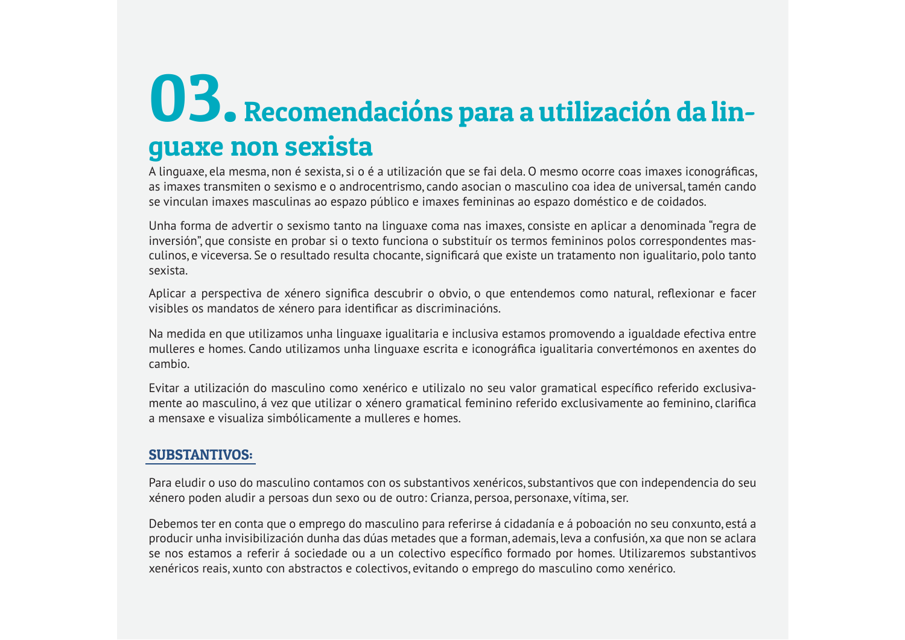### **OB.** Recomendacións para a utilización da linguaxe non sexista

A linguaxe, ela mesma, non é sexista, si o é a utilización que se fai dela. O mesmo ocorre coas imaxes iconográficas, as imaxes transmiten o sexismo e o androcentrismo, cando asocian o masculino coa idea de universal, tamén cando se vinculan imaxes masculinas ao espazo público e imaxes femininas ao espazo doméstico e de coidados.

Unha forma de advertir o sexismo tanto na linguaxe coma nas imaxes, consiste en aplicar a denominada "regra de inversión", que consiste en probar si o texto funciona o substituír os termos femininos polos correspondentes masculinos, e viceversa. Se o resultado resulta chocante, significará que existe un tratamento non igualitario, polo tanto sexista

Aplicar a perspectiva de xénero significa descubrir o obvio, o que entendemos como natural, reflexionar e facer visibles os mandatos de xénero para identificar as discriminacións.

Na medida en que utilizamos unha linguaxe igualitaria e inclusiva estamos promovendo a igualdade efectiva entre mulleres e homes. Cando utilizamos unha linguaxe escrita e iconográfica igualitaria convertémonos en axentes do cambio

Evitar a utilización do masculino como xenérico e utilizalo no seu valor gramatical específico referido exclusivamente ao masculino, á vez que utilizar o xénero gramatical feminino referido exclusivamente ao feminino, clarifica a mensaxe e visualiza simbólicamente a mulleres e homes

#### **SUBSTANTIVOS:**

Para eludir o uso do masculino contamos con os substantivos xenéricos, substantivos que con independencia do seu xénero poden aludir a persoas dun sexo ou de outro: Crianza, persoa, personaxe, vítima, ser.

Debemos ter en conta que o emprego do masculino para referirse á cidadanía e á poboación no seu conxunto, está a producir unha invisibilización dunha das dúas metades que a forman, ademais, leva a confusión, xa que non se aclara se nos estamos a referir á sociedade ou a un colectivo específico formado por homes. Utilizaremos substantivos xenéricos reais, xunto con abstractos e colectivos, evitando o emprego do masculino como xenérico.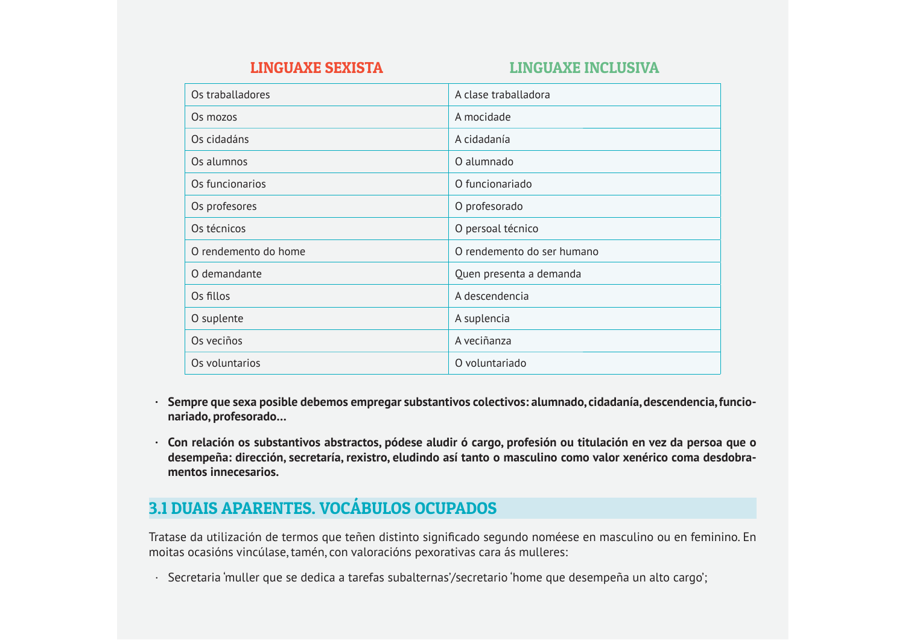#### **LINGUAXE INCLUSIVA**

| Os traballadores     | A clase traballadora       |
|----------------------|----------------------------|
| Os mozos             | A mocidade                 |
| Os cidadáns          | A cidadanía                |
| Os alumnos           | O alumnado                 |
| Os funcionarios      | O funcionariado            |
| Os profesores        | O profesorado              |
| Os técnicos          | O persoal técnico          |
| O rendemento do home | O rendemento do ser humano |
| O demandante         | Quen presenta a demanda    |
| Os fillos            | A descendencia             |
| O suplente           | A suplencia                |
| Os veciños           | A veciñanza                |
| Os voluntarios       | O voluntariado             |

- · Sempre que sexa posible debemos empregar substantivos colectivos: alumnado, cidadanía, descendencia, funcionariado, profesorado...
- · Con relación os substantivos abstractos, pódese aludir ó cargo, profesión ou titulación en vez da persoa que o desempeña: dirección, secretaría, rexistro, eludindo así tanto o masculino como valor xenérico coma desdobramentos innecesarios

#### 3.1 DUAIS APARENTES. VOCÁBULOS OCUPADOS

Tratase da utilización de termos que teñen distinto significado segundo noméese en masculino ou en feminino. En moitas ocasións vincúlase, tamén, con valoracións pexorativas cara ás mulleres:

· Secretaria 'muller que se dedica a tarefas subalternas'/secretario 'home que desempeña un alto cargo';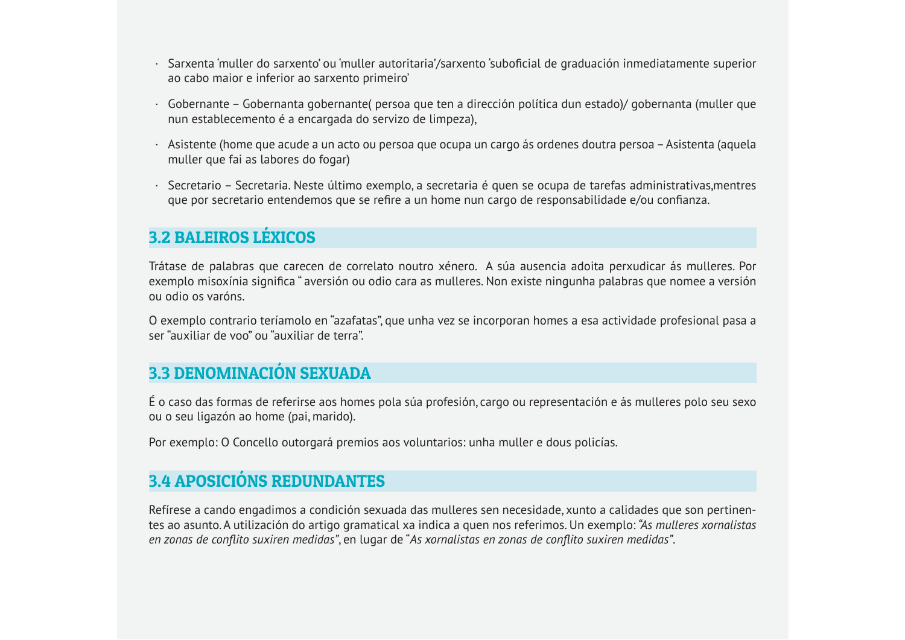- · Sarxenta 'muller do sarxento' ou 'muller autoritaria'/sarxento 'suboficial de graduación inmediatamente superior ao cabo major e inferior ao sarxento primeiro
- · Gobernante Gobernanta gobernante( persoa que ten a dirección política dun estado)/ gobernanta (muller que nun establecemento é a encargada do servizo de limpeza).
- Asistente (home que acude a un acto ou persoa que ocupa un cargo ás ordenes doutra persoa Asistenta (aquela muller que fai as labores do fogar)
- · Secretario Secretaria. Neste último exemplo, a secretaria é quen se ocupa de tarefas administrativas, mentres que por secretario entendemos que se refire a un home nun cargo de responsabilidade e/ou confianza.

#### **3.2 BALEIROS LÉXICOS**

Trátase de palabras que carecen de correlato noutro xénero. A súa ausencia adoita perxudicar ás mulleres. Por exemplo misoxínia significa "aversión ou odio cara as mulleres. Non existe ningunha palabras que nomee a versión ou odio os varóns

O exemplo contrario teríamolo en "azafatas", que unha vez se incorporan homes a esa actividade profesional pasa a ser "auxiliar de voo" ou "auxiliar de terra".

#### **3.3 DENOMINACIÓN SEXUADA**

É o caso das formas de referirse aos homes pola súa profesión, cargo ou representación e ás mulleres polo seu sexo ou o seu ligazón ao home (pai, marido).

Por exemplo: O Concello outorgará premios aos voluntarios: unha muller e dous policías.

#### **3.4 APOSICIÓNS REDUNDANTES**

Refírese a cando engadimos a condición sexuada das mulleres sen necesidade, xunto a calidades que son pertinentes ao asunto. A utilización do artigo gramatical xa indica a quen nos referimos. Un exemplo: "As *mulleres xornalistas* en zonas de conflito suxiren medidas", en lugar de "As xornalistas en zonas de conflito suxiren medidas".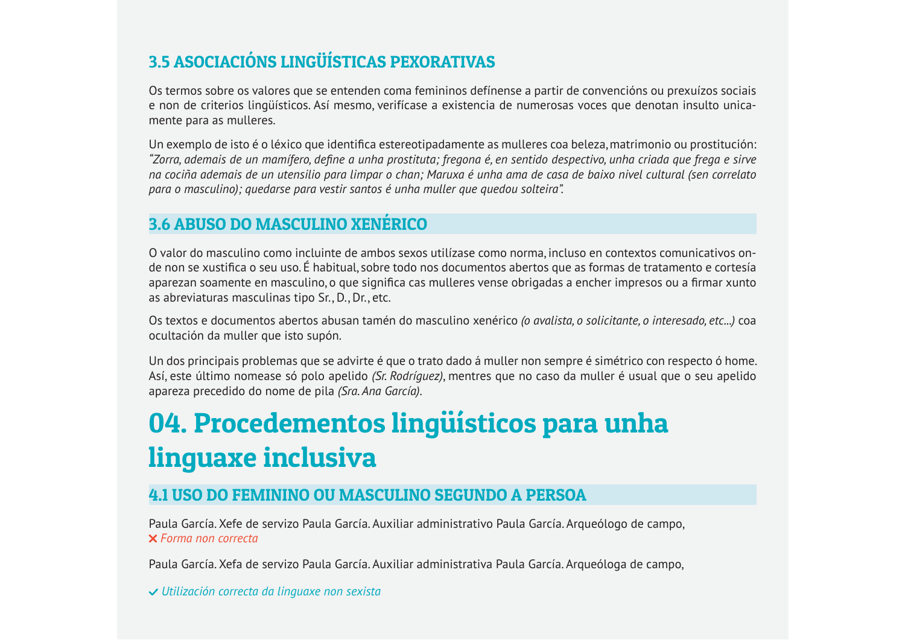#### 3.5 ASOCIACIÓNS LINGÜÍSTICAS PEXORATIVAS

Os termos sobre os valores que se entenden coma femininos defínense a partir de convencións ou prexuízos sociais e non de criterios lingüísticos. Así mesmo, verifícase a existencia de numerosas voces que denotan insulto unicamente para as mulleres.

Un exemplo de isto é o léxico que identifica estereotipadamente as mulleres coa beleza, matrimonio ou prostitución: "Zorra, ademais de un mamífero, define a unha prostituta; fregona é, en sentido despectivo, unha criada que frega e sirve na cociña ademais de un utensilio para limpar o chan; Maruxa é unha ama de casa de baixo nivel cultural (sen correlato para o masculino); quedarse para vestir santos é unha muller que quedou solteira".

#### 3.6 ABUSO DO MASCULINO XENÉRICO

O valor do masculino como incluinte de ambos sexos utilízase como norma, incluso en contextos comunicativos onde non se xustifica o seu uso. É habitual, sobre todo nos documentos abertos que as formas de tratamento e cortesía aparezan soamente en masculino, o que significa cas mulleres vense obrigadas a encher impresos ou a firmar xunto as abreviaturas masculinas tipo Sr., D., Dr., etc.

Os textos e documentos abertos abusan tamén do masculino xenérico (o avalista, o solicitante, o interesado, etc...) coa ocultación da muller que isto supón.

Un dos principais problemas que se advirte é que o trato dado á muller non sempre é simétrico con respecto ó home. Así, este último nomease só polo apelido (Sr. Rodríguez), mentres que no caso da muller é usual que o seu apelido apareza precedido do nome de pila (Sra. Ana García).

### 04. Procedementos lingüísticos para unha linguaxe inclusiva

#### **4.1 USO DO FEMININO OU MASCULINO SEGUNDO A PERSOA**

Paula García. Xefe de servizo Paula García. Auxiliar administrativo Paula García. Arqueólogo de campo, **X** Forma non correcta

Paula García. Xefa de servizo Paula García. Auxiliar administrativa Paula García. Arqueóloga de campo,

√ Utilización correcta da linguaxe non sexista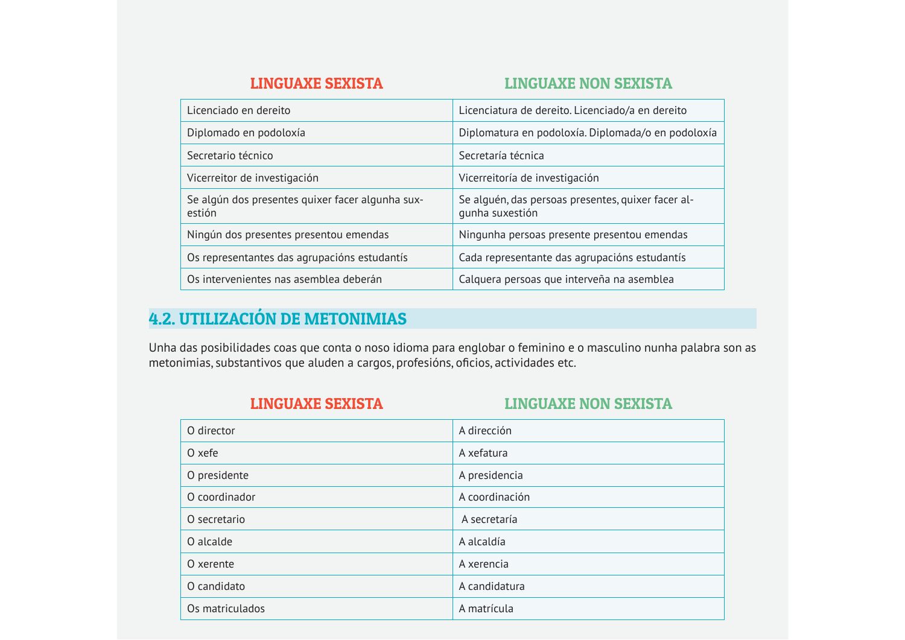#### **LINGUAXE NON SEXISTA**

| Licenciado en dereito                                      | Licenciatura de dereito. Licenciado/a en dereito                      |
|------------------------------------------------------------|-----------------------------------------------------------------------|
| Diplomado en podoloxía                                     | Diplomatura en podoloxía. Diplomada/o en podoloxía                    |
| Secretario técnico                                         | Secretaría técnica                                                    |
| Vicerreitor de investigación                               | Vicerreitoría de investigación                                        |
| Se algún dos presentes quixer facer algunha sux-<br>estión | Se alguén, das persoas presentes, quixer facer al-<br>qunha suxestión |
| Ningún dos presentes presentou emendas                     | Ningunha persoas presente presentou emendas                           |
| Os representantes das agrupacións estudantís               | Cada representante das agrupacións estudantís                         |
| Os intervenientes nas asemblea deberán                     | Calquera persoas que interveña na asemblea                            |

#### **4.2. UTILIZACIÓN DE METONIMIAS**

Unha das posibilidades coas que conta o noso idioma para englobar o feminino e o masculino nunha palabra son as metonimias, substantivos que aluden a cargos, profesións, oficios, actividades etc.

| <b>LINGUAXE SEXISTA</b> | <b>LINGUAXE NON SEXISTA</b> |
|-------------------------|-----------------------------|
| O director              | A dirección                 |
| O xefe                  | A xefatura                  |
| O presidente            | A presidencia               |
| O coordinador           | A coordinación              |
| O secretario            | A secretaría                |
| O alcalde               | A alcaldía                  |
| O xerente               | A xerencia                  |
| O candidato             | A candidatura               |
| Os matriculados         | A matrícula                 |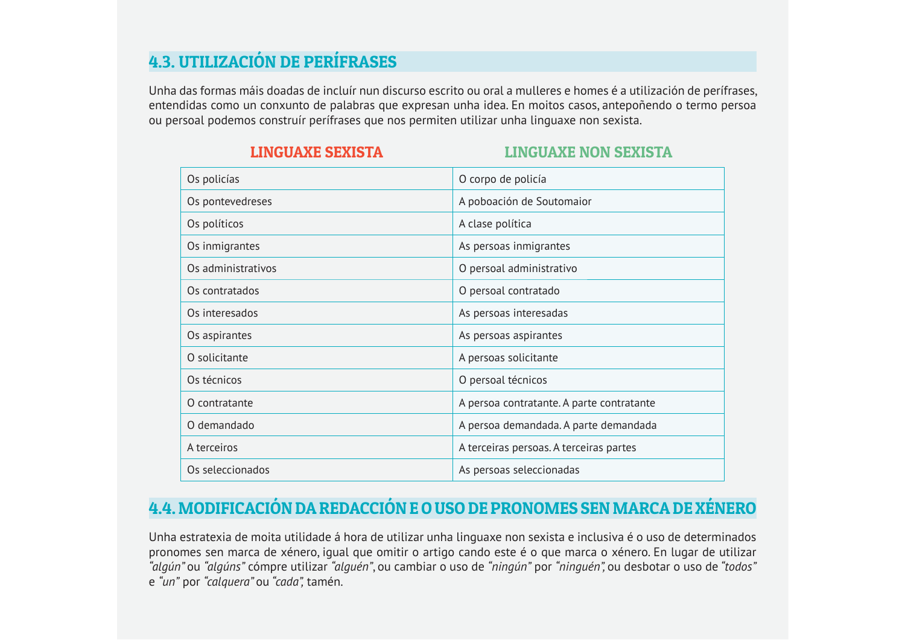#### **4.3. UTILIZACIÓN DE PERÍFRASES**

Unha das formas máis doadas de incluír nun discurso escrito ou oral a mulleres e homes é a utilización de perífrases, entendidas como un conxunto de palabras que expresan unha idea. En moitos casos, antepoñendo o termo persoa ou persoal podemos construír perífrases que nos permiten utilizar unha linguaxe non sexista.

| Os policías        | O corpo de policía                        |
|--------------------|-------------------------------------------|
| Os pontevedreses   | A poboación de Soutomaior                 |
| Os políticos       | A clase política                          |
| Os inmigrantes     | As persoas inmigrantes                    |
| Os administrativos | O persoal administrativo                  |
| Os contratados     | O persoal contratado                      |
| Os interesados     | As persoas interesadas                    |
| Os aspirantes      | As persoas aspirantes                     |
| O solicitante      | A persoas solicitante                     |
| Os técnicos        | O persoal técnicos                        |
| O contratante      | A persoa contratante. A parte contratante |
| O demandado        | A persoa demandada. A parte demandada     |
| A terceiros        | A terceiras persoas. A terceiras partes   |
| Os seleccionados   | As persoas seleccionadas                  |

#### **LINGUAXE SEXISTA**

#### **LINGUAXE NON SEXISTA**

#### 4.4. MODIFICACIÓN DA REDACCIÓN E O USO DE PRONOMES SEN MARCA DE XÉNERO

Unha estratexia de moita utilidade á hora de utilizar unha linguaxe non sexista e inclusiva é o uso de determinados pronomes sen marca de xénero, iqual que omitir o artigo cando este é o que marca o xénero. En lugar de utilizar "algún" ou "algúns" cómpre utilizar "alguén", ou cambiar o uso de "ningún" por "ninguén", ou desbotar o uso de "todos" e "un" por "calquera" ou "cada", tamén.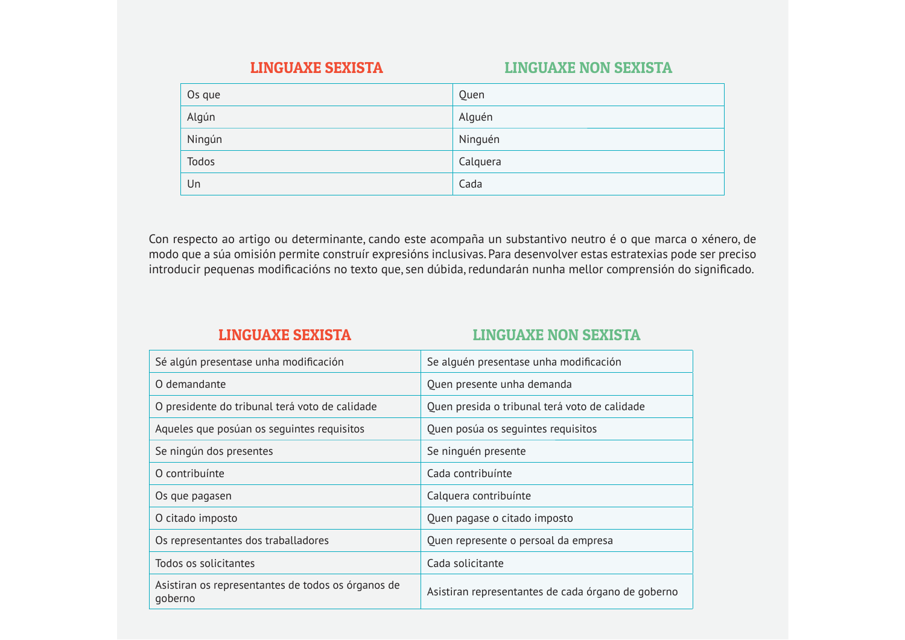#### **LINGUAXE NON SEXISTA**

| Os que | Quen     |
|--------|----------|
| Algún  | Alguén   |
| Ningún | Ninguén  |
| Todos  | Calquera |
| Un     | Cada     |

Con respecto ao artigo ou determinante, cando este acompaña un substantivo neutro é o que marca o xénero, de modo que a súa omisión permite construír expresións inclusivas. Para desenvolver estas estratexias pode ser preciso introducir pequenas modificacións no texto que, sen dúbida, redundarán nunha mellor comprensión do significado.

#### **LINGUAXE SEXISTA**

#### **LINGUAXE NON SEXISTA**

| Sé algún presentase unha modificación                         | Se alguén presentase unha modificación             |
|---------------------------------------------------------------|----------------------------------------------------|
| O demandante                                                  | Quen presente unha demanda                         |
| O presidente do tribunal terá voto de calidade                | Quen presida o tribunal terá voto de calidade      |
| Aqueles que posúan os seguintes requisitos                    | Quen posúa os seguintes requisitos                 |
| Se ningún dos presentes                                       | Se ninguén presente                                |
| O contribuínte                                                | Cada contribuínte                                  |
| Os que pagasen                                                | Calquera contribuínte                              |
| O citado imposto                                              | Quen pagase o citado imposto                       |
| Os representantes dos traballadores                           | Quen represente o persoal da empresa               |
| Todos os solicitantes                                         | Cada solicitante                                   |
| Asistiran os representantes de todos os órganos de<br>goberno | Asistiran representantes de cada órgano de goberno |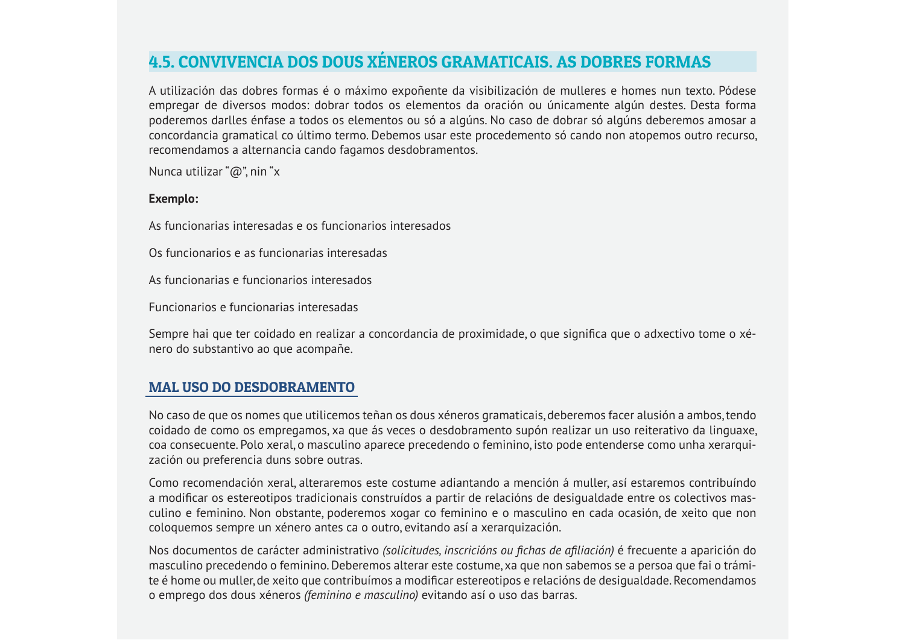#### **4.5. CONVIVENCIA DOS DOUS XÉNEROS GRAMATICAIS. AS DOBRES FORMAS**

A utilización das dobres formas é o máximo expoñente da visibilización de mulleres e homes nun texto. Pódese empregar de diversos modos: dobrar todos os elementos da oración ou únicamente algún destes. Desta forma poderemos darlles énfase a todos os elementos ou só a algúns. No caso de dobrar só algúns deberemos amosar a concordancia gramatical co último termo. Debemos usar este procedemento só cando non atopemos outro recurso, recomendamos a alternancia cando fagamos desdobramentos.

Nunca utilizar " $@$ " nin "x

#### Exemplo:

As funcionarias interesadas e os funcionarios interesados

Os funcionarios e as funcionarias interesadas

As funcionarias e funcionarios interesados

Euncionarios e funcionarias interesadas

Sempre hai que ter coidado en realizar a concordancia de proximidade, o que significa que o adxectivo tome o xénero do substantivo ao que acompañe.

#### **MAL USO DO DESDOBRAMENTO**

No caso de que os nomes que utilicemos teñan os dous xéneros gramaticais, deberemos facer alusión a ambos, tendo coidado de como os empregamos, xa que ás veces o desdobramento supón realizar un uso reiterativo da linguaxe, coa consecuente. Polo xeral, o masculino aparece precedendo o feminino, isto pode entenderse como unha xerarquización ou preferencia duns sobre outras.

Como recomendación xeral, alteraremos este costume adiantando a mención á muller, así estaremos contribuíndo a modificar os estereotipos tradicionais construídos a partir de relacións de desigualdade entre os colectivos masculino e feminino. Non obstante, poderemos xogar co feminino e o masculino en cada ocasión, de xeito que non cologuemos sempre un xénero antes ca o outro, evitando así a xerarguización.

Nos documentos de carácter administrativo (solicitudes, inscricións ou fichas de afiliación) é frecuente a aparición do masculino precedendo o feminino. Deberemos alterar este costume, xa que non sabemos se a persoa que fai o trámite é home ou muller, de xeito que contribuímos a modificar estereotipos e relacións de desigualdade. Recomendamos o emprego dos dous xéneros *(feminino e masculino)* evitando así o uso das barras.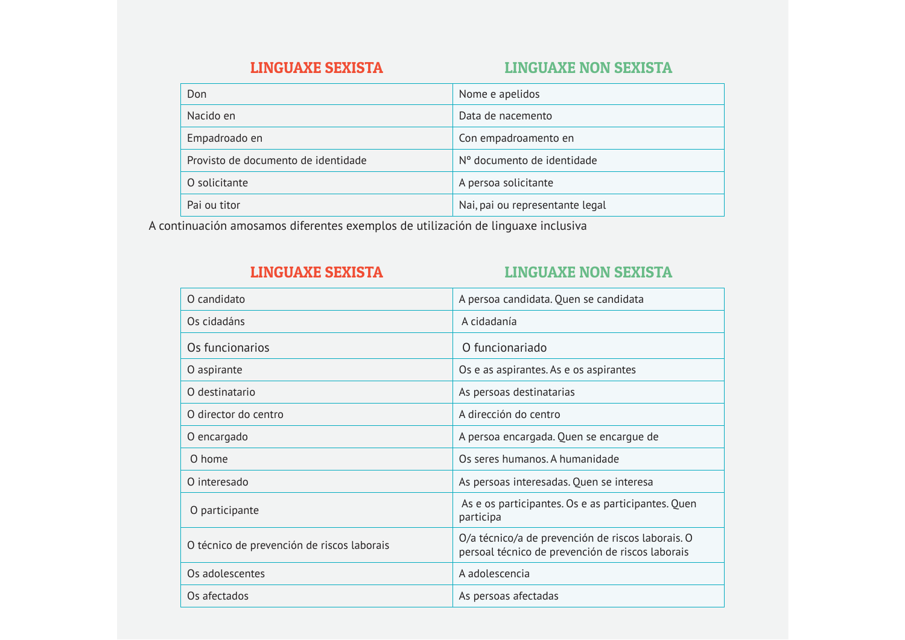#### **LINGUAXE NON SEXISTA**

| Don                                 | Nome e apelidos                 |
|-------------------------------------|---------------------------------|
| Nacido en                           | Data de nacemento               |
| Empadroado en                       | Con empadroamento en            |
| Provisto de documento de identidade | Nº documento de identidade      |
| O solicitante                       | A persoa solicitante            |
| Pai ou titor                        | Nai, pai ou representante legal |

A continuación amosamos diferentes exemplos de utilización de linguaxe inclusiva

#### **LINGUAXE SEXISTA**

#### **LINGUAXE NON SEXISTA**

| O candidato                                | A persoa candidata. Quen se candidata                                                                 |
|--------------------------------------------|-------------------------------------------------------------------------------------------------------|
| Os cidadáns                                | A cidadanía                                                                                           |
| Os funcionarios                            | O funcionariado                                                                                       |
| O aspirante                                | Os e as aspirantes. As e os aspirantes                                                                |
| O destinatario                             | As persoas destinatarias                                                                              |
| O director do centro                       | A dirección do centro                                                                                 |
| O encargado                                | A persoa encargada. Quen se encargue de                                                               |
| O home                                     | Os seres humanos. A humanidade                                                                        |
| O interesado                               | As persoas interesadas. Quen se interesa                                                              |
| O participante                             | As e os participantes. Os e as participantes. Quen<br>participa                                       |
| O técnico de prevención de riscos laborais | O/a técnico/a de prevención de riscos laborais. O<br>persoal técnico de prevención de riscos laborais |
| Os adolescentes                            | A adolescencia                                                                                        |
| Os afectados                               | As persoas afectadas                                                                                  |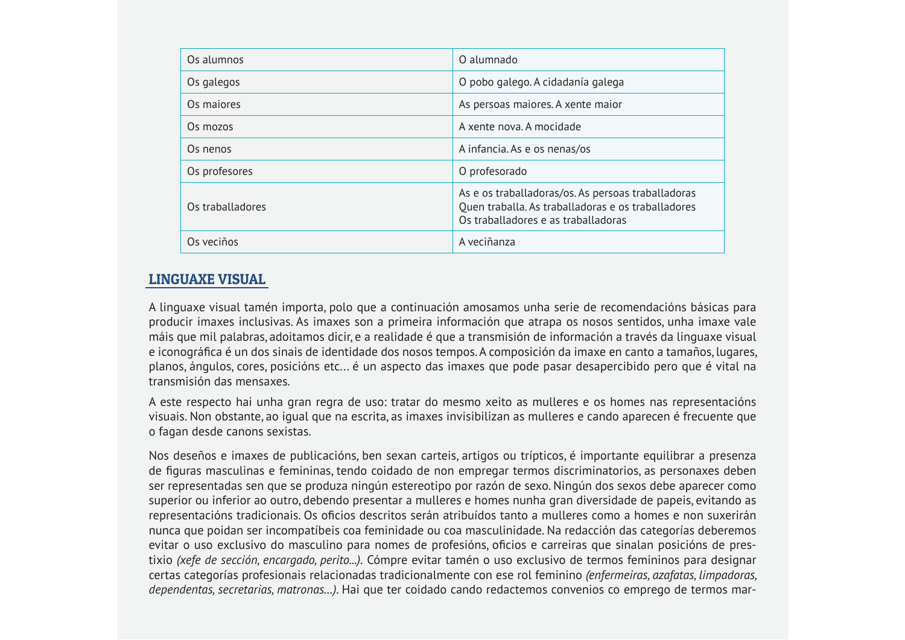| Os alumnos       | O alumnado                                                                                                                                      |
|------------------|-------------------------------------------------------------------------------------------------------------------------------------------------|
| Os galegos       | O pobo galego. A cidadanía galega                                                                                                               |
| Os majores       | As persoas maiores. A xente maior                                                                                                               |
| Os mozos         | A xente nova. A mocidade                                                                                                                        |
| Os nenos         | A infancia. As e os nenas/os                                                                                                                    |
| Os profesores    | O profesorado                                                                                                                                   |
| Os traballadores | As e os traballadoras/os. As persoas traballadoras<br>Quen traballa. As traballadoras e os traballadores<br>Os traballadores e as traballadoras |
| Os veciños       | A veciñanza                                                                                                                                     |

#### **LINGUAXE VISUAL**

A linguaxe visual tamén importa, polo que a continuación amosamos unha serie de recomendacións básicas para producir imaxes inclusivas. As imaxes son a primeira información que atrapa os nosos sentidos, unha imaxe vale máis que mil palabras, adoitamos dicir, e a realidade é que a transmisión de información a través da linguaxe visual e iconográfica é un dos sinais de identidade dos nosos tempos. A composición da imaxe en canto a tamaños, lugares, planos, ángulos, cores, posicións etc... é un aspecto das imaxes que pode pasar desapercibido pero que é vital na transmisión das mensaxes

A este respecto hai unha gran regra de uso: tratar do mesmo xeito as mulleres e os homes nas representacións visuais. Non obstante, ao igual que na escrita, as imaxes invisibilizan as mulleres e cando aparecen é frecuente que o fagan desde canons sexistas.

Nos deseños e imaxes de publicacións, ben sexan carteis, artigos ou trípticos, é importante equilibrar a presenza de figuras masculinas e femininas, tendo coidado de non empregar termos discriminatorios, as personaxes deben ser representadas sen que se produza ningún estereotipo por razón de sexo. Ningún dos sexos debe aparecer como superior ou inferior ao outro, debendo presentar a mulleres e homes nunha gran diversidade de papeis, evitando as representacións tradicionais. Os oficios descritos serán atribuídos tanto a mulleres como a homes e non suxerirán nunca que poidan ser incompatíbeis coa feminidade ou coa masculinidade. Na redacción das categorías deberemos evitar o uso exclusivo do masculino para nomes de profesións, oficios e carreiras que sinalan posicións de prestixio (xefe de sección, encargado, perito...). Cómpre evitar tamén o uso exclusivo de termos femininos para designar certas categorías profesionais relacionadas tradicionalmente con ese rol feminino (enfermeiras, azafatas, limpadoras, dependentas, secretarias, matronas...). Hai que ter coidado cando redactemos convenios co emprego de termos mar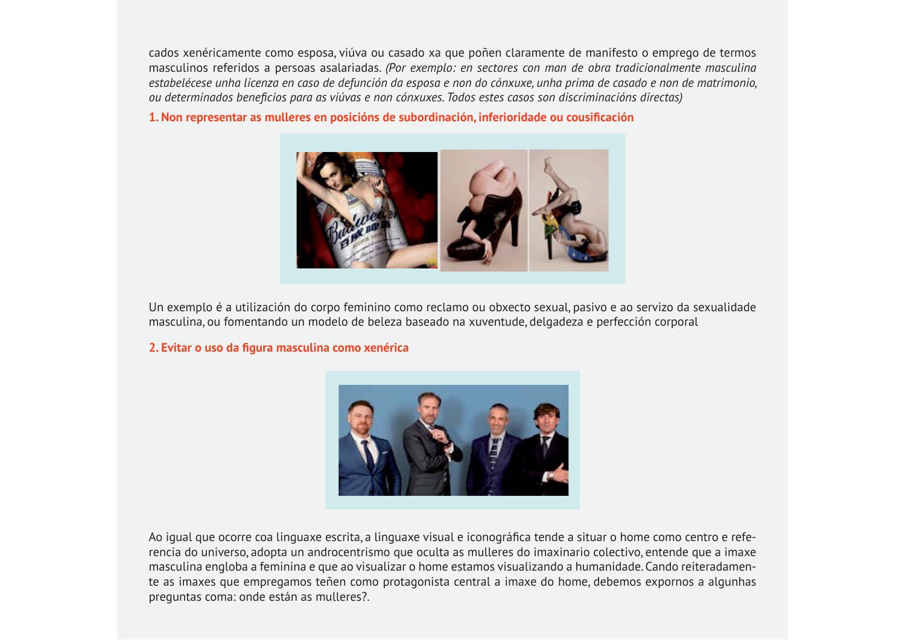cados xenéricamente como esposa, viúva ou casado xa que poñen claramente de manifesto o emprego de termos masculinos referidos a persoas asalariadas. (Por exemplo: en sectores con man de obra tradicionalmente masculina estabelécese unha licenza en caso de defunción da esposa e non do cónxuxe, unha prima de casado e non de matrimonio, ou determinados beneficios para as viúvas e non cónxuxes. Todos estes casos son discriminacións directas)

#### 1. Non representar as mulleres en posicións de subordinación, inferioridade ou cousificación



Un exemplo é a utilización do corpo feminino como reclamo ou obxecto sexual, pasivo e ao servizo da sexualidade masculina, ou fomentando un modelo de beleza baseado na xuventude, delgadeza e perfección corporal

#### 2. Evitar o uso da figura masculina como xenérica



Ao igual que ocorre coa linguaxe escrita, a linguaxe visual e iconográfica tende a situar o home como centro e referencia do universo, adopta un androcentrismo que oculta as mulleres do imaxinario colectivo, entende que a imaxe masculina engloba a feminina e que ao visualizar o home estamos visualizando a humanidade. Cando reiteradamente as imaxes que empregamos teñen como protagonista central a imaxe do home, debemos expornos a algunhas preguntas coma: onde están as mulleres?.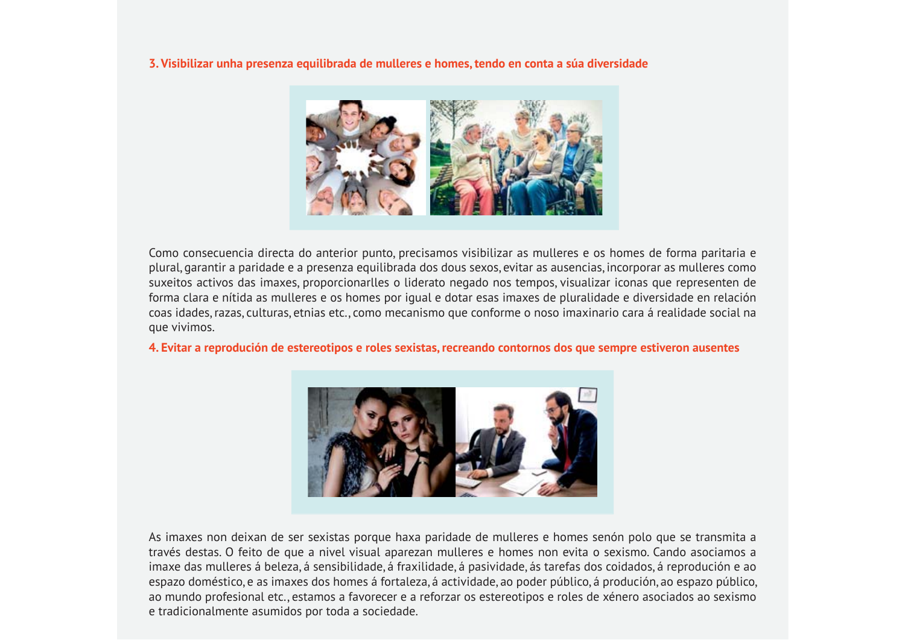#### 3. Visibilizar unha presenza equilibrada de mulleres e homes, tendo en conta a súa diversidade



Como consecuencia directa do anterior punto, precisamos visibilizar as mulleres e os homes de forma paritaria e plural, garantir a paridade e a presenza equilibrada dos dous sexos, evitar as ausencias, incorporar as mulleres como suxeitos activos das imaxes, proporcionarlles o liderato negado nos tempos, visualizar iconas que representen de forma clara e nítida as mulleres e os homes por igual e dotar esas imaxes de pluralidade e diversidade en relación coas idades, razas, culturas, etnias etc., como mecanismo que conforme o noso imaxinario cara á realidade social na que vivimos.

#### 4. Evitar a reprodución de estereotipos e roles sexistas, recreando contornos dos que sempre estiveron ausentes



As imaxes non deixan de ser sexistas porque haxa paridade de mulleres e homes senón polo que se transmita a través destas. O feito de que a nivel visual aparezan mulleres e homes non evita o sexismo. Cando asociamos a imaxe das mulleres á beleza, á sensibilidade, á fraxilidade, á pasividade, ás tarefas dos coidados, á reprodución e ao espazo doméstico, e as imaxes dos homes á fortaleza, á actividade, ao poder público, á produción, ao espazo público, ao mundo profesional etc., estamos a favorecer e a reforzar os estereotipos e roles de xénero asociados ao sexismo e tradicionalmente asumidos por toda a sociedade.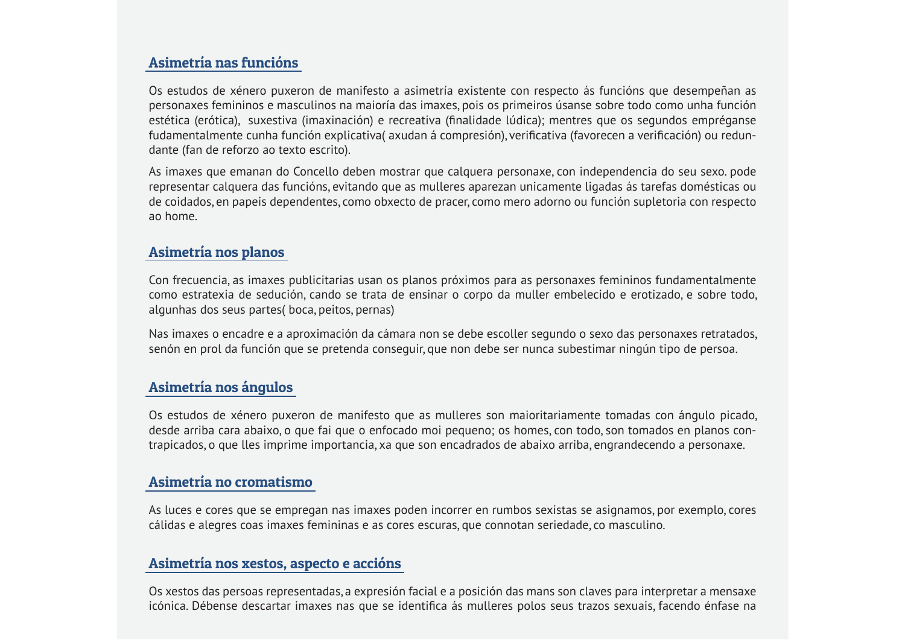#### Asimetría nas funcións

Os estudos de xénero puxeron de manifesto a asimetría existente con respecto ás funcións que desempeñan as personaxes femininos e masculinos na maioría das imaxes, pois os primeiros úsanse sobre todo como unha función estética (erótica), suxestiva (imaxinación) e recreativa (finalidade lúdica); mentres que os segundos empréganse fudamentalmente cunha función explicativa(axudan á compresión), verificativa (favorecen a verificación) ou redundante (fan de reforzo ao texto escrito).

As imaxes que emanan do Concello deben mostrar que calquera personaxe, con independencia do seu sexo, pode representar calguera das funcións, evitando que as mulleres aparezan unicamente ligadas ás tarefas domésticas ou de coidados, en papeis dependentes, como obxecto de pracer, como mero adorno ou función supletoria con respecto ao home.

#### Asimetría nos planos

Con frecuencia, as imaxes publicitarias usan os planos próximos para as personaxes femininos fundamentalmente como estratexia de sedución, cando se trata de ensinar o corpo da muller embelecido e erotizado, e sobre todo, algunhas dos seus partes (boca, peitos, pernas)

Nas imaxes o encadre e a aproximación da cámara non se debe escoller segundo o sexo das personaxes retratados, senón en prol da función que se pretenda conseguir, que non debe ser nunca subestimar ningún tipo de persoa.

#### Asimetría nos ángulos

Os estudos de xénero puxeron de manifesto que as mulleres son maioritariamente tomadas con ángulo picado, desde arriba cara abaixo, o que fai que o enfocado moi pequeno; os homes, con todo, son tomados en planos contrapicados, o que lles imprime importancia, xa que son encadrados de abaixo arriba, engrandecendo a personaxe.

#### Asimetría no cromatismo

As luces e cores que se empregan nas imaxes poden incorrer en rumbos sexistas se asignamos, por exemplo, cores cálidas e alegres coas imaxes femininas e as cores escuras, que connotan seriedade, co masculino.

#### Asimetría nos xestos, aspecto e accións

Os xestos das persoas representadas, a expresión facial e a posición das mans son claves para interpretar a mensaxe icónica. Débense descartar imaxes nas que se identifica ás mulleres polos seus trazos sexuais, facendo énfase na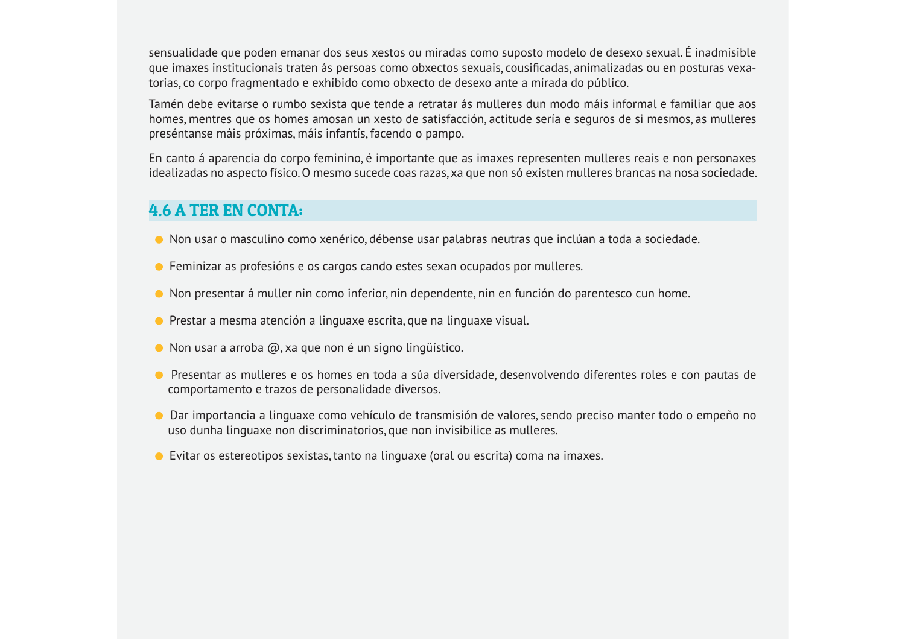sensualidade que poden emanar dos seus xestos ou miradas como suposto modelo de desexo sexual. É inadmisible que imaxes institucionais traten ás persoas como obxectos sexuais, cousificadas, animalizadas ou en posturas vexatorias, co corpo fragmentado e exhibido como obxecto de desexo ante a mirada do público.

Tamén debe evitarse o rumbo sexista que tende a retratar ás mulleres dun modo máis informal e familiar que aos homes, mentres que os homes amosan un xesto de satisfacción, actitude sería e seguros de si mesmos, as mulleres preséntanse máis próximas, máis infantís, facendo o pampo.

En canto á aparencia do corpo feminino, é importante que as imaxes representen mulleres reais e non personaxes idealizadas no aspecto físico. O mesmo sucede coas razas, xa que non só existen mulleres brancas na nosa sociedade.

#### **4.6 A TER EN CONTA:**

- Non usar o masculino como xenérico, débense usar palabras neutras que inclúan a toda a sociedade.
- Feminizar as profesións e os cargos cando estes sexan ocupados por mulleres.
- Non presentar á muller nin como inferior, nin dependente, nin en función do parentesco cun home.
- Prestar a mesma atención a linguaxe escrita, que na linguaxe visual.
- $\bullet$  Non usar a arroba  $\omega$ , xa que non é un signo lingüístico.
- Presentar as mulleres e os homes en toda a súa diversidade, desenvolvendo diferentes roles e con pautas de comportamento e trazos de personalidade diversos.
- O Dar importancia a linguaxe como vehículo de transmisión de valores, sendo preciso manter todo o empeño no uso dunha linguaxe non discriminatorios, que non invisibilice as mulleres.
- Evitar os estereotipos sexistas, tanto na linguaxe (oral ou escrita) coma na imaxes.